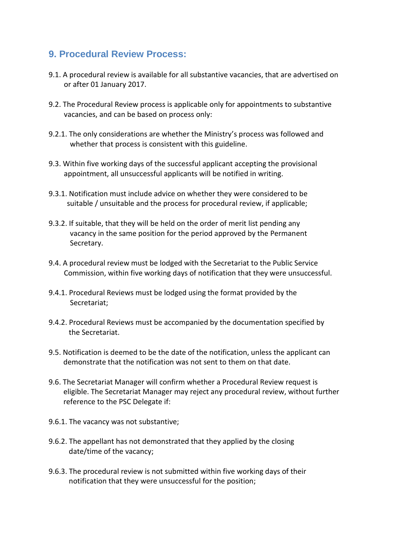## **9. Procedural Review Process:**

- 9.1. A procedural review is available for all substantive vacancies, that are advertised on or after 01 January 2017.
- 9.2. The Procedural Review process is applicable only for appointments to substantive vacancies, and can be based on process only:
- 9.2.1. The only considerations are whether the Ministry's process was followed and whether that process is consistent with this guideline.
- 9.3. Within five working days of the successful applicant accepting the provisional appointment, all unsuccessful applicants will be notified in writing.
- 9.3.1. Notification must include advice on whether they were considered to be suitable / unsuitable and the process for procedural review, if applicable;
- 9.3.2. If suitable, that they will be held on the order of merit list pending any vacancy in the same position for the period approved by the Permanent Secretary.
- 9.4. A procedural review must be lodged with the Secretariat to the Public Service Commission, within five working days of notification that they were unsuccessful.
- 9.4.1. Procedural Reviews must be lodged using the format provided by the Secretariat;
- 9.4.2. Procedural Reviews must be accompanied by the documentation specified by the Secretariat.
- 9.5. Notification is deemed to be the date of the notification, unless the applicant can demonstrate that the notification was not sent to them on that date.
- 9.6. The Secretariat Manager will confirm whether a Procedural Review request is eligible. The Secretariat Manager may reject any procedural review, without further reference to the PSC Delegate if:
- 9.6.1. The vacancy was not substantive;
- 9.6.2. The appellant has not demonstrated that they applied by the closing date/time of the vacancy;
- 9.6.3. The procedural review is not submitted within five working days of their notification that they were unsuccessful for the position;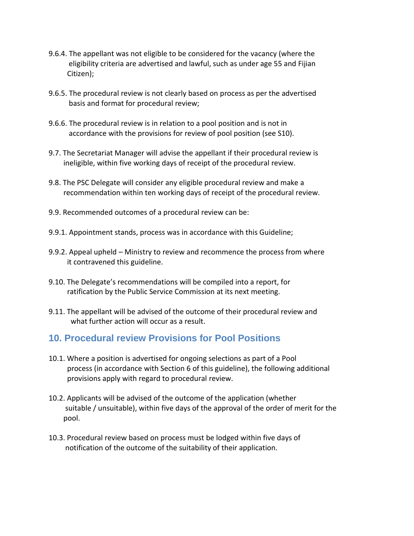- 9.6.4. The appellant was not eligible to be considered for the vacancy (where the eligibility criteria are advertised and lawful, such as under age 55 and Fijian Citizen);
- 9.6.5. The procedural review is not clearly based on process as per the advertised basis and format for procedural review;
- 9.6.6. The procedural review is in relation to a pool position and is not in accordance with the provisions for review of pool position (see S10).
- 9.7. The Secretariat Manager will advise the appellant if their procedural review is ineligible, within five working days of receipt of the procedural review.
- 9.8. The PSC Delegate will consider any eligible procedural review and make a recommendation within ten working days of receipt of the procedural review.
- 9.9. Recommended outcomes of a procedural review can be:
- 9.9.1. Appointment stands, process was in accordance with this Guideline;
- 9.9.2. Appeal upheld Ministry to review and recommence the process from where it contravened this guideline.
- 9.10. The Delegate's recommendations will be compiled into a report, for ratification by the Public Service Commission at its next meeting.
- 9.11. The appellant will be advised of the outcome of their procedural review and what further action will occur as a result.

## **10. Procedural review Provisions for Pool Positions**

- 10.1. Where a position is advertised for ongoing selections as part of a Pool process (in accordance with Section 6 of this guideline), the following additional provisions apply with regard to procedural review.
- 10.2. Applicants will be advised of the outcome of the application (whether suitable / unsuitable), within five days of the approval of the order of merit for the pool.
- 10.3. Procedural review based on process must be lodged within five days of notification of the outcome of the suitability of their application.